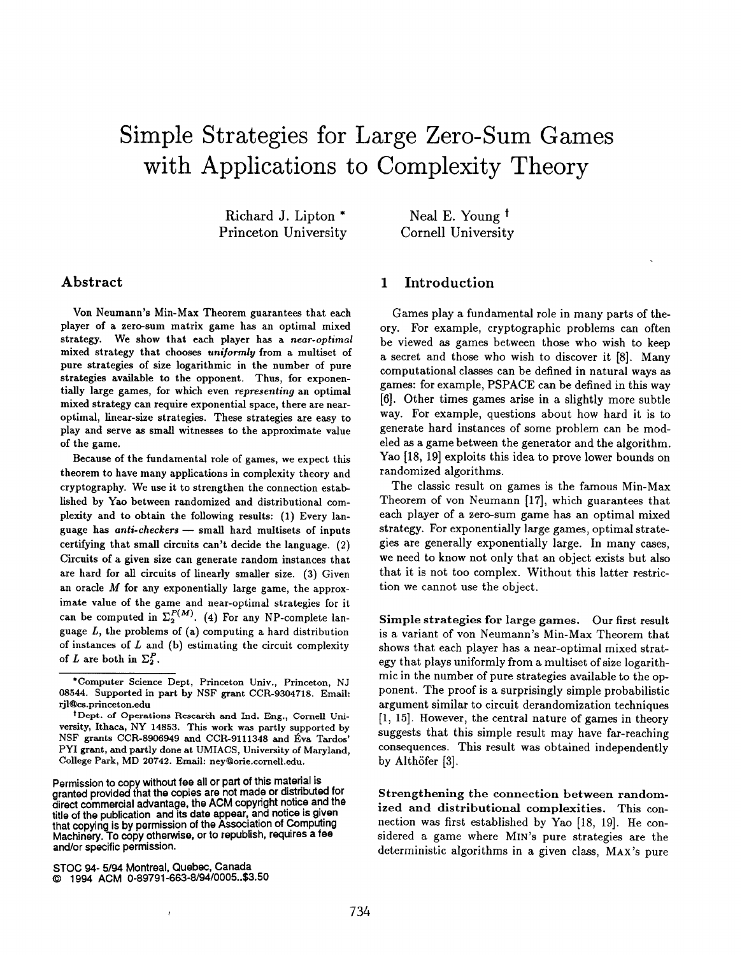# Simple Strategies for Large Zero-Sum Game with Applications to Complexity Theor

Richard J. Lipton \* Princeton University

Neal E. Young<sup>t</sup> Cornell University

# Abstract

Von Neumann's Min-Max Theorem guarantees that each player of a zero-sum matrix game has an optimal mixed strategy. We show that each player has a near-optimal mixed strategy that chooses uniformly from a multiset of pure strategies of size logarithmic in the number of pure strategies available to the opponent. Thus, for exponentially large games, for which even representing an optimal mixed strategy can require exponential space, there are nearoptimal, linear-size strategies. These strategies are eaay to play and serve as small witnesses to the approximate value of the game.

Because of the fundamental role of games, we expect this theorem to have many applications in complexity theory and cryptography. We use it to strengthen the connection established by Yao between randomized and distributional complexity and to obtain the following results: (1) Every language has anti-checkers — small hard multisets of inputs certifying that small circuits can't decide the language. (2) Circuits of a given size can generate random instances that are hard for all circuits of linearly smaller size. (3) Given an oracle M for any exponentially large game, the approximate value of the game and near-optimal strategies for it can be computed in  $\Sigma_2^{P(M)}$ . (4) For any NP-complete language  $L$ , the problems of (a) computing a hard distribution of instances of  $L$  and (b) estimating the circuit complexity of L are both in  $\Sigma_2^P$ .

Permission to copy without fee all or part of this material is granted provided that the copies are not made or distributed for direct commercial advantage, the ACM copyright notice and the title of the publication and its date appear, and notice is given that copying is by permission of the Association of Computing Machinery. To copy otherwise, or to republish, requires a fee and/or specific permission.

# 1 Introduction

Games play a fundamental role in many parts of theory. For example, cryptographic problems can often be viewed as games between those who wish to keep a secret and those who wish to discover it [8]. Many computational classes can be defined in natural ways as games: for example, PSPACE can be defined in this way [6]. Other times games arise in a slightly more subtle way. For example, questions about how hard it is to generate hard instances of some problem can be modeled as a game between the generator and the algorithm. Yao [18, 19] exploits this idea to prove lower bounds on randomized algorithms.

The classic result on games is the famous Min-Max Theorem of von Neumann [17], which guarantees that each player of a zero-sum game has an optimal mixed strategy. For exponentially large games, optimal strategies are generally exponentially large. In many cases, we need to know not only that an object exists but also that it is not too complex. Without this latter restriction we cannot use the object.

Simple strategies for large games. Our first result is a variant of von Neumann's Min-Max Theorem that shows that each player has a near-optimal mixed strategy that plays uniformly from a multiset of size logarithmic in the number of pure strategies available to the opponent. The proof is a surprisingly simple probabilistic argument similar to circuit derandomization techniques [1, 15]. However, the central nature of games in theory suggests that this simple result may have far-reaching consequences. This result was obtained independently by Althofer [3].

Strengthening the connection between randomized and distributional complexities. This connection was first established by Yao [18, 19]. He considered a game where MIN'S pure strategies are the deterministic algorithms in a given class, MAX's pure

<sup>\*</sup>Computer Science Dept, Princeton Univ., Princeton, NJ 08544. Supported in part by NSF grant CCR-9304718. Email: rjl@cs.princeton.edu

t Dept. of Operations Reseakh and Ind. Eng., Cornell University, Ithaca, NY 14853. This work was partly supported by NSF grants CCR-8906949 and CCR-9111348 and Éva Tardos' PYI grant, and partly done at UMIACS, University of Maryland, College Park, MD 20742. Email: ney@orie.cornell. edu.

STOC 94- 5/94 Montreal, Quebec, Canada @ 1994 ACM 0-89791 -663-8/94/0005..\$3.50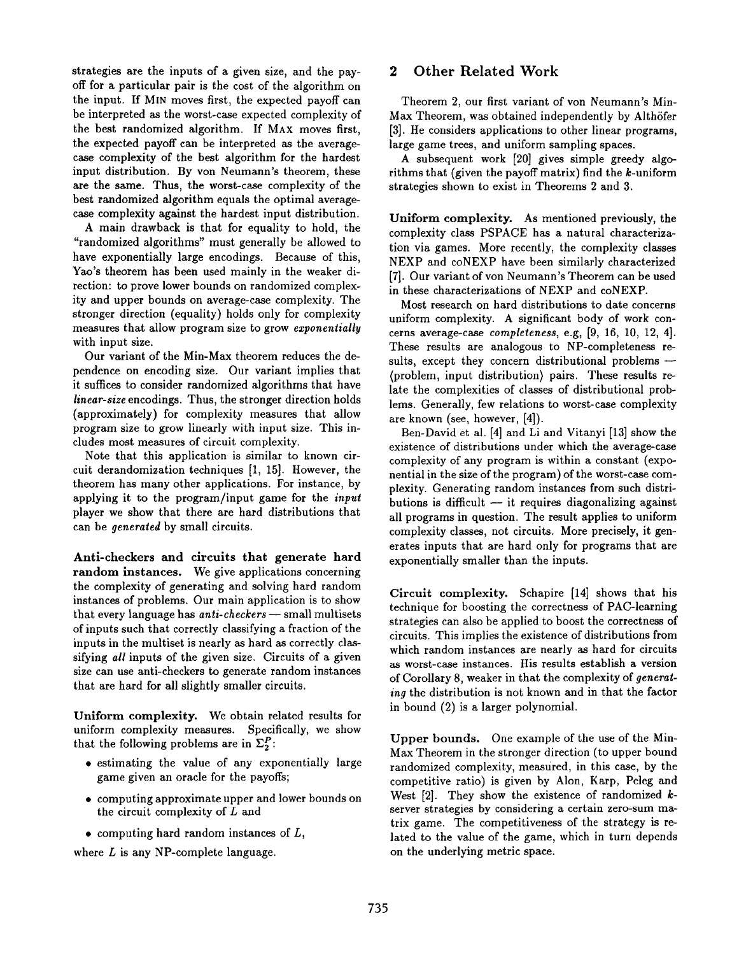strategies are the inputs of a given size, and the payoff for a particular pair is the cost of the algorithm on the input. If MIN moves first, the expected payoff can be interpreted as the worst-case expected complexity of the best randomized algorithm. If MAX moves first, the expected payoff can be interpreted as the averagecase complexity of the best algorithm for the hardest input distribution. By von Neumann's theorem, these are the same. Thus, the worst-case complexity of the best randomized algorithm equals the optimal averagecase complexity against the hardest input distribution.

A main drawback is that for equality to hold, the "randomized algorithms" must generally be allowed to have exponentially large encodings. Because of this, Yao's theorem has been used mainly in the weaker direction: to prove lower bounds on randomized complexity and upper bounds on average-case complexity. The stronger direction (equality) holds only for complexity measures that allow program size to grow exponentially with input size.

Our variant of the Min-Max theorem reduces the dependence on encoding size. Our variant implies that it suffices to consider randomized algorithms that have linear-size encodings. Thus, the stronger direction holds (approximately) for complexity measures that allow program size to grow linearly with input size. This includes most measures of circuit complexity.

Note that this application is similar to known circuit derandomization techniques [1, 15]. However, the theorem has many other applications. For instance, by applying it to the program/input game for the input player we show that there are hard distributions that can be generated by small circuits.

Anti-checkers and circuits that generate hard random instances. We give applications concerning the complexity of generating and solving hard random instances of problems. Our main application is to show that every language has  $anti-checkers$  — small multisets of inputs such that correctly classifying a fraction of the inputs in the multiset is nearly as hard as correctly classifying all inputs of the given size. Circuits of a given size can use anti-checkers to generate random instances that are hard for all slightly smaller circuits.

Uniform complexity. We obtain related results for uniform complexity measures. Specifically, we show that the following problems are in  $\Sigma_2^P$ :

- estimating the value of any exponentially large game given an oracle for the payoffs;
- computing approximate upper and lower bounds on the circuit complexity of  $L$  and
- computing hard random instances of  $L$ ,

where  $L$  is any NP-complete language.

## 2 Other Related Work

Theorem 2, our first variant of von Neumann's Min-Max Theorem, was obtained independently by Althöfer [3]. He considers applications to other linear programs, large game trees, and uniform sampling spaces.

A subsequent work [20] gives simple greedy algorithms that (given the payoff matrix) find the  $k$ -uniform strategies shown to exist in Theorems 2 and 3.

Uniform complexity. As mentioned previously, the complexity class PSPACE has a natural characterization via games. More recently, the complexity classes NEXP and CONEXP have been similarly characterized [7]. Our variant of von Neumann's Theorem can be used in these characterizations of NEXP and coNEXP.

Most research on hard distributions to date concerns uniform complexity. A significant body of work concerns average-case *completeness*, e.g,  $[9, 16, 10, 12, 4]$ . These results are analogous to NP-completeness results, except they concern distributional problems — (problem, input distribution) pairs. These results relate the complexities of classes of distributional problems. Generally, few relations to worst-case complexity are known (see, however, [4]).

Ben-David et al. [4] and Li and Vitanyi [13] show the existence of distributions under which the average-case complexity of any program is within a constant (exponential in the size of the program) of the worst-case complexity. Generating random instances from such distributions is difficult  $-$  it requires diagonalizing against all programs in question. The result applies to uniform complexity classes, not circuits. More precisely, it generates inputs that are hard only for programs that are exponentially smaller than the inputs.

Circuit complexity. Schapire [14] shows that his technique for boosting the correctness of PAC-learning strategies can also be applied to boost the correctness of circuits. This implies the existence of distributions from which random instances are nearly as hard for circuits as worst-case instances. His results establish a version of Corollary 8, weaker in that the complexity of generating the distribution is not known and in that the factor in bound (2) is a larger polynomial.

Upper bounds. One example of the use of the Min-Max Theorem in the stronger direction (to upper bound randomized complexity, measured, in this case, by the competitive ratio) is given by Alon, Karp, Peleg and West  $[2]$ . They show the existence of randomized  $k$ server strategies by considering a certain zero-sum matrix game. The competitiveness of the strategy is related to the value of the game, which in turn depends on the underlying metric space.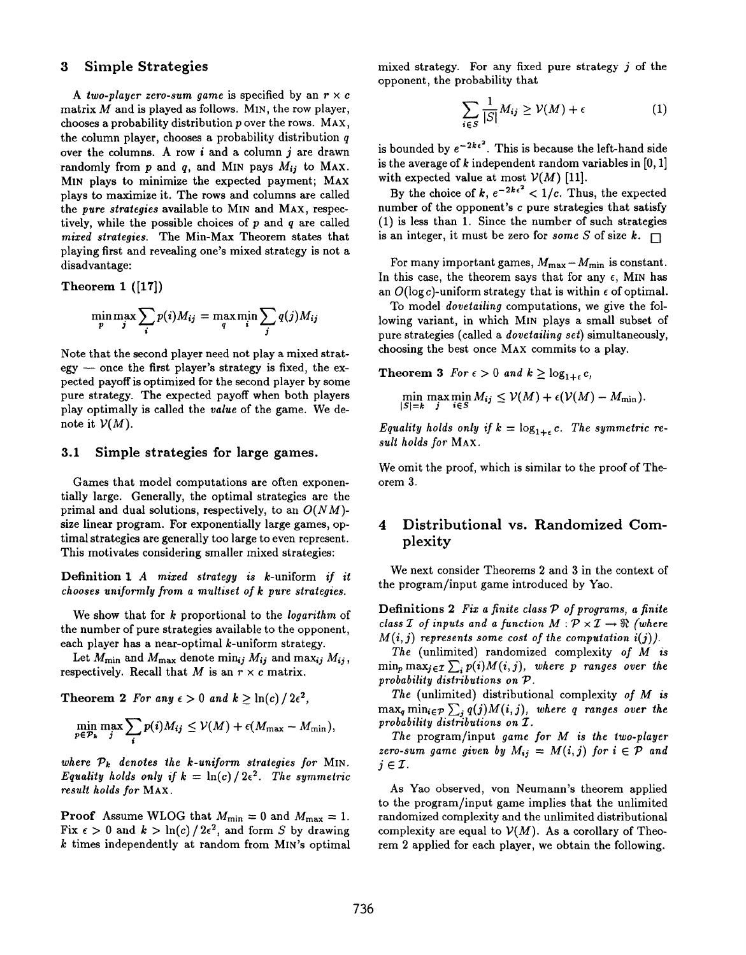### 3 Simple Strategies

A two-player zero-sum game is specified by an  $r \times c$ matrix  $M$  and is played as follows. MIN, the row player, chooses a probability distribution p over the rows. MAX, the column player, chooses a probability distribution  $q$ over the columns. A row  $i$  and a column  $j$  are drawn randomly from p and q, and MIN pays  $M_{ij}$  to MAX. MIN plays to minimize the expected payment; MAX plays to maximize it. The rows and columns are called the pure strategies available to MIN and MAX, respectively, while the possible choices of  $p$  and  $q$  are called mixed strategies. The Min-Max Theorem states that playing first and revealing one's mixed strategy is not a disadvantage:

Theorem 1 ([17])

$$
\min_{p} \max_{j} \sum_{i} p(i) M_{ij} = \max_{q} \min_{i} \sum_{j} q(j) M_{ij}
$$

Note that the second player need not play a mixed strategy — once the first player's strategy is fixed, the expected payoff is optimized for the second player by some pure strategy. The expected payoff when both players play optimally is called the value of the game. We denote it  $V(M)$ .

### 3.1 Simple strategies for large games.

Games that model computations are often exponentially large. Generally, the optimal strategies are the primal and dual solutions, respectively, to an  $O(NM)$ size linear program. For exponentially large games, optimal strategies are generally too large to even represent. This motivates considering smaller mixed strategies:

Definition 1 A mized strategy is k-uniform if it chooses uniformly from a multiset of k pure strategies.

We show that for k proportional to the *logarithm* of the number of pure strategies available to the opponent, each player has a near-optimal k-uniform strategy.

Let  $M_{\text{min}}$  and  $M_{\text{max}}$  denote min<sub>ij</sub>  $M_{ij}$  and max<sub>ij</sub>  $M_{ij}$ , respectively. Recall that M is an  $r \times c$  matrix.

Theorem 2 For any  $\epsilon > 0$  and  $k > \ln(c) / 2\epsilon^2$ ,

$$
\min_{p \in \mathcal{P}_k} \max_j \sum_i p(i) M_{ij} \leq \mathcal{V}(M) + \epsilon(M_{\max} - M_{\min}),
$$

where  $P_k$  denotes the k-uniform strategies for MIN. Equality holds only if  $k = \ln(c)/2\epsilon^2$ . The symmetric result holds for MAX.

**Proof** Assume WLOG that  $M_{\text{min}} = 0$  and  $M_{\text{max}} = 1$ . Fix  $\epsilon > 0$  and  $k > \ln(c)/2\epsilon^2$ , and form S by drawing  $k$  times independently at random from MIN's optimal mixed strategy. For any fixed pure strategy j of the opponent, the probability that

$$
\sum_{i \in S} \frac{1}{|S|} M_{ij} \ge \mathcal{V}(M) + \epsilon \tag{1}
$$

is bounded by  $e^{-2k\epsilon^2}$ . This is because the left-hand side is the average of  $k$  independent random variables in [0, 1] with expected value at most  $V(M)$  [11].

By the choice of  $k$ ,  $e^{-2k\epsilon^2} < 1/c$ . Thus, the expected number of the opponent's c pure strategies that satisfy (1) is less than 1. Since the number of such strategies is an integer, it must be zero for some S of size  $k$ .  $\Box$ 

For many important games,  $M_{\text{max}} - M_{\text{min}}$  is constant. In this case, the theorem says that for any  $\epsilon$ , MIN has an  $O(\log c)$ -uniform strategy that is within  $\epsilon$  of optimal.

To model dovetailing computations, we give the following variant, in which MIN plays a small subset of pure strategies (called a dovetailing set) simultaneously, choosing the best once MAX commits to a play.

Theorem 3 For  $\epsilon > 0$  and  $k \geq \log_{1+\epsilon} c$ ,

$$
\min_{|S|=k} \max_{j} \min_{i \in S} M_{ij} \leq \mathcal{V}(M) + \epsilon(\mathcal{V}(M) - M_{\min}).
$$

Equality holds only if  $k = \log_{1+\epsilon} c$ . The symmetric result holds for MAX.

We omit the proof, which is similar to the proof of Theorem 3.

# 4 Distributional vs. Randomized Complexity

We next consider Theorems 2 and 3 in the context of the program/input game introduced by Yao.

Definitions 2 Fix a finite class  $P$  of programs, a finite class  $\mathcal I$  of inputs and a function  $M: \mathcal P \times \mathcal I \to \mathfrak R$  (where  $M(i, i)$  represents some cost of the computation  $i(i)$ ).

The (unlimited) randomized complexity of M is  $\min_p \max_{j \in \mathcal{I}} \sum_i p(i)M(i, j)$ , where p ranges over the probability distributions on P.

The (unlimited) distributional complexity of  $M$  is  $\max_q \min_{i \in \mathcal{P}} \sum_j q(j)M(i, j)$ , where q ranges over the probability distributions on Z.

The program/input game for M is the two-player zero-sum game given by  $M_{ij} = M(i, j)$  for  $i \in \mathcal{P}$  and  $j\in\mathcal{I}$ .

As Yao observed, von Neumann's theorem applied to the program/input game implies that the unlimited randomized complexity and the unlimited distributional complexity are equal to  $V(M)$ . As a corollary of Theorem 2 applied for each player, we obtain the following.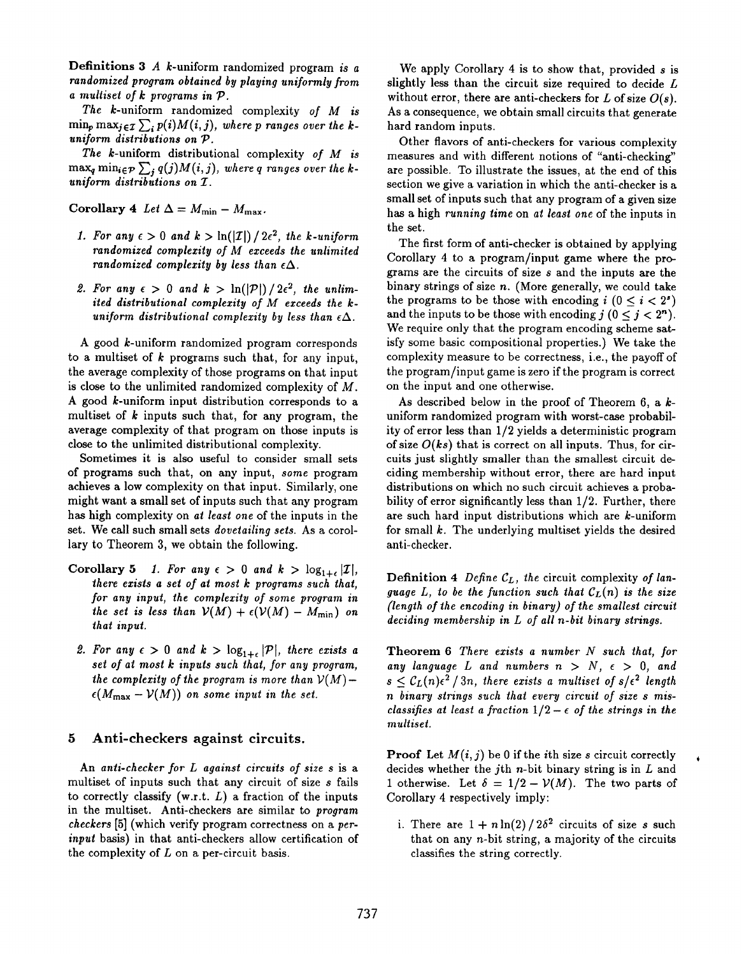**Definitions 3** A  $k$ -uniform randomized program is a randomized program obtained by playing uniformly from a multiset of k programs in P.

The k-uniform randomized complexity of M is  $\min_p \max_{j \in \mathcal{I}} \sum_i p(i) M(i, j)$ , where p ranges over the kuniform distributions on  $P$ .

The k-uniform distributional complexity of M is  $\max_{q} \min_{i \in \mathcal{P}} \sum_{j} q(j) M(i, j)$ , where  $q$  ranges over the kuniform distributions on Z.

Corollary 4 Let  $\Delta = M_{\text{min}} - M_{\text{max}}$ .

- 1. For any  $\epsilon > 0$  and  $\kappa > \ln(|\mathcal{I}|)/2\epsilon^2$ , the k-uniform randomized complexity of M exceeds the unlimited randomized complexity by less than  $\epsilon \Delta$ .
- Z. For any  $\epsilon > 0$  and  $\kappa > \ln(|\mathcal{P}|)/2\epsilon^2$ , the unlin ited distributional complexity of M exceeds the kuniform distributional complexity by less than  $\epsilon \Delta$ .

A good *k*-uniform randomized program correspond to a multiset of  $k$  programs such that, for any input, the average complexity of those programs on that input is close to the unlimited randomized complexity of M. A good k-uniform input distribution corresponds to a multiset of  $k$  inputs such that, for any program, the average complexity of that program on those inputs is close to the unlimited distributional complexity.

Sometimes it is also useful to consider small sets of programs such that, on any input, some program achieves a low complexity on that input. Similarly, one might want a small set of inputs such that any program has high complexity on at least one of the inputs in the set. We call such small sets dovetailing sets. As a corollary to Theorem 3, we obtain the following.

- Corollary 5 1. For any  $\epsilon > 0$  and  $k > \log_{1+\epsilon} |\mathcal{I}|$ , there exists a set of at most  $k$  programs such that, for any input, the complexity of some program in the set is less than  $V(M) + \epsilon(V(M) - M_{\min})$  on that input.
	- 2. For any  $\epsilon > 0$  and  $k > \log_{1+\epsilon} |\mathcal{P}|$ , there exists a set of at most  $k$  inputs such that, for any program, the complexity of the program is more than  $V(M)$  –  $\epsilon(M_{\rm max} - \mathcal{V}(M))$  on some input in the set.

#### 5 Anti-checkers against circuits.

An anti-checker for L against circuits of size s is a multiset of inputs such that any circuit of size s fails to correctly classify  $(w.r.t. L)$  a fraction of the inputs in the multiset. Anti-checkers are similar to program checkers [5] (which verify program correctness on a perinput basis) in that anti-checkers allow certification of the complexity of  $L$  on a per-circuit basis.

We apply Corollary 4 is to show that, provided  $s$  is slightly less than the circuit size required to decide L without error, there are anti-checkers for L of size  $O(s)$ . As a consequence, we obtain small circuits that generate hard random inputs.

Other flavors of anti-checkers for various complexity measures and with different notions of "anti-checking" are possible. To illustrate the issues, at the end of this section we give a variation in which the anti-checker is a small set of inputs such that any program of a given size has a high running time on at least one of the inputs in the set.

The first form of anti-checker is obtained by applying Corollary 4 to a program/input game where the programs are the circuits of size s and the inputs are the binary strings of size  $n$ . (More generally, we could take the programs to be those with encoding  $i$   $(0 \le i < 2<sup>s</sup>)$ and the inputs to be those with encoding  $j$   $(0 \le j \le 2<sup>n</sup>)$ . We require only that the program encoding scheme satisfy some basic compositional properties.) We take the complexity measure to be correctness, i.e., the payoff of the program/input game is zero if the program is correct on the input and one otherwise.

As described below in the proof of Theorem 6, a  $k$ uniform randomized program with worst-case probability of error less than 1/2 yields a deterministic program of size  $O(ks)$  that is correct on all inputs. Thus, for circuits just slightly smaller than the smadlest circuit deciding membership without error, there are hard input distributions on which no such circuit achieves a probability of error significantly less than 1/2. Further, there are such hard input distributions which are k-uniform for small  $k$ . The underlying multiset yields the desired anti-checker,

Definition 4 Define  $C_L$ , the circuit complexity of language L, to be the function such that  $C_L(n)$  is the size (length of the encoding in binary) of the smallest circuit deciding membership in L of all n-bit binary strings.

Theorem  $6$  There exists a number  $N$  such that, for any language L and numbers  $n > N$ ,  $\epsilon > 0$ , and  $s \leq C_L(n)\epsilon^2/3n$ , there exists a multiset of  $s/\epsilon^2$  length n binary strings such that every circuit of size s misclassifies at least a fraction  $1/2 - \epsilon$  of the strings in the multiset.

**Proof** Let  $M(i, j)$  be 0 if the *i*th size s circuit correctly decides whether the j<sup>th</sup> *n*-bit binary string is in  $L$  and 1 otherwise. Let  $\delta = 1/2 - \mathcal{V}(M)$ . The two parts of Corollary 4 respectively imply:

i. There are  $1 + n \ln(2) / 2\delta^2$  circuits of size s such that on any n-bit string, a majority of the circuits classifies the string correctly.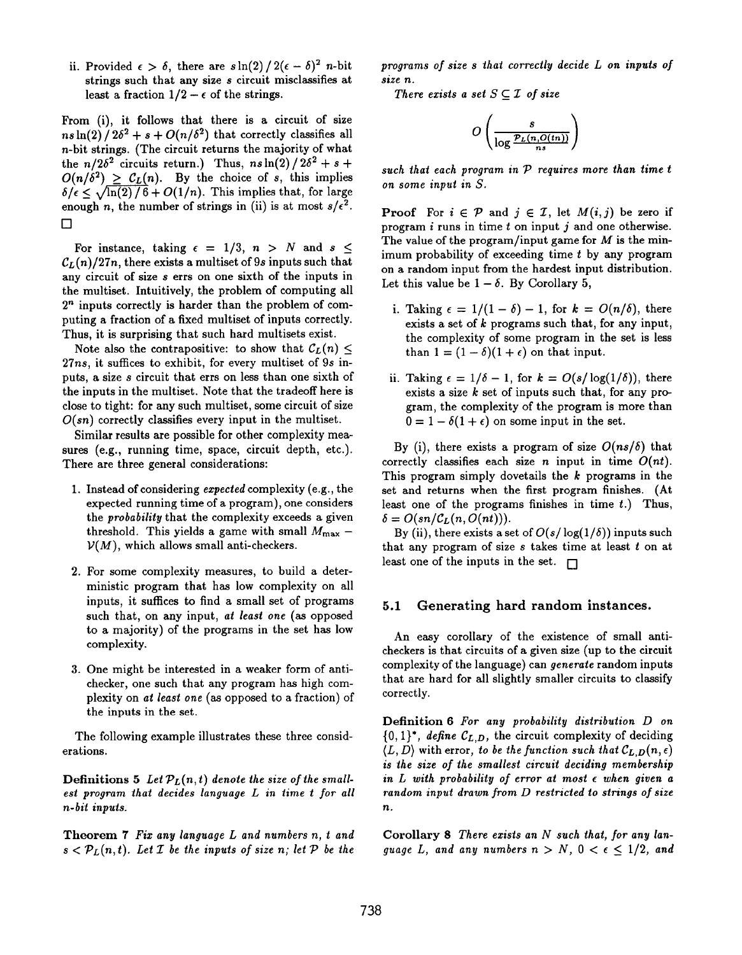ii. Provided  $\epsilon > \delta$ , there are  $s \ln(2)/2(\epsilon - \delta)^2$  n-bit strings such that any size s circuit misclassifies at least a fraction  $1/2 - \epsilon$  of the strings.

From (i), it follows that there is a circuit of size  $ns\ln(2)/2\delta^2 + s + O(n/\delta^2)$  that correctly classifies all n-bit strings. (The circuit returns the majority of what the  $n/2\delta^2$  circuits return.) Thus,  $ns\ln(2)/2\delta^2+s+$  $O(n/\delta^2) \geq C_L(n)$ . By the choice of s, this implies  $\delta/\epsilon \leq \sqrt{\ln(2)/6}+O(1/n)$ . This implies that, for large enough n, the number of strings in (ii) is at most  $s/\epsilon^2$ .  $\Box$ 

For instance, taking  $\epsilon = 1/3$ ,  $n > N$  and  $s \leq$  $C_{L}(n)/27n$ , there exists a multiset of 9s inputs such that any circuit of size s errs on one sixth of the inputs in the multiset. Intuitively, the problem of computing all  $2<sup>n</sup>$  inputs correctly is harder than the problem of computing a fraction of a fixed multiset of inputs correctly. Thus, it is surprising that such hard multisets exist.

Note also the contrapositive: to show that  $\mathcal{C}_L(n) \leq$ 27ns, it suffices to exhibit, for every multiset of 9s inputs, a size s circuit that errs on less than one sixth of the inputs in the multiset. Note that the tradeoff here is close to tight: for any such multiset, some circuit of size  $O(s_n)$  correctly classifies every input in the multiset.

Similar results are possible for other complexity measures (e.g., running time, space, circuit depth, etc.). There are three general considerations:

- 1. Instead of considering expected complexity (e.g., the expected running time of a program), one considers the *probability* that the complexity exceeds a given threshold. This yields a game with small  $M_{\text{max}}$  –  $V(M)$ , which allows small anti-checkers.
- 2. For some complexity measures, to build a deterministic program that has low complexity on all inputs, it suffices to find a small set of programs such that, on any input, at least one (as opposed to a majority) of the programs in the set has low complexity.
- 3. One might be interested in a weaker form of antichecker, one such that any program has high complexity on at least one (as opposed to a fraction) of the inputs in the set.

The following example illustrates these three considerations.

**Definitions 5** Let  $P_L(n, t)$  denote the size of the smallest program that decides language L in time t for all n-bit inputs.

Theorem 7 Fiz any language L and numbers n, t and  $s < P_L(n,t)$ . Let *T* be the inputs of size *n*; let *P* be the

programs of size s that correctly decide L on inputs of size n.

There exists a set  $S \subseteq \mathcal{I}$  of size

$$
O\left(\frac{s}{\log \frac{\mathcal{P}_L(n, O(tn))}{ns}}\right)
$$

such that each program in  $P$  requires more than time  $t$ on some input in S.

**Proof** For  $i \in \mathcal{P}$  and  $j \in \mathcal{I}$ , let  $M(i, j)$  be zero if program  $i$  runs in time  $t$  on input  $j$  and one otherwise. The value of the program/input game for  $M$  is the minimum probability of exceeding time  $t$  by any program on a random input from the hardest input distribution. Let this value be  $1 - \delta$ . By Corollary 5,

- i. Taking  $\epsilon = 1/(1 \delta) 1$ , for  $k = O(n/\delta)$ , there exists a set of  $k$  programs such that, for any input, the complexity of some program in the set is less than  $1 = (1 - \delta)(1 + \epsilon)$  on that input.
- ii. Taking  $\epsilon = 1/\delta 1$ , for  $k = O(s/\log(1/\delta))$ , ther exists a size  $k$  set of inputs such that, for any program, the complexity of the program is more than  $0 = 1 - \delta(1 + \epsilon)$  on some input in the set.

By (i), there exists a program of size  $O(ns/\delta)$  that correctly classifies each size n input in time  $O(nt)$ . This program simply dovetails the  $k$  programs in the set and returns when the first program finishes. (At least one of the programs finishes in time  $t$ .) Thus,  $\delta = O(sn/C_L(n, O(nt))).$ 

By (ii), there exists a set of  $O(s/\log(1/\delta))$  inputs such that any program of size  $s$  takes time at least  $t$  on at least one of the inputs in the set.  $\Box$ 

### 5.1 Generating hard random instances.

An easy corollary of the existence of small anticheckers is that circuits of a given size (up to the circuit complexity of the language) can generate random inputs that are hard for all slightly smaller circuits to classify correctly.

Definition 6 For any probability distribution D on  ${0,1}^*$ , define  $C_{L,D}$ , the circuit complexity of deciding  $\langle L, D \rangle$  with error, to be the function such that  $\mathcal{C}_{L,D}(n, \epsilon)$ is the size of the smallest circuit deciding membership in L with probability of error at most  $\epsilon$  when given a random input drawn from  $D$  restricted to strings of size n.

Corollary 8 There exists an N such that, for any language  $L$ , and any numbers  $n>N$ ,  $0<\epsilon\leq 1/2,$  and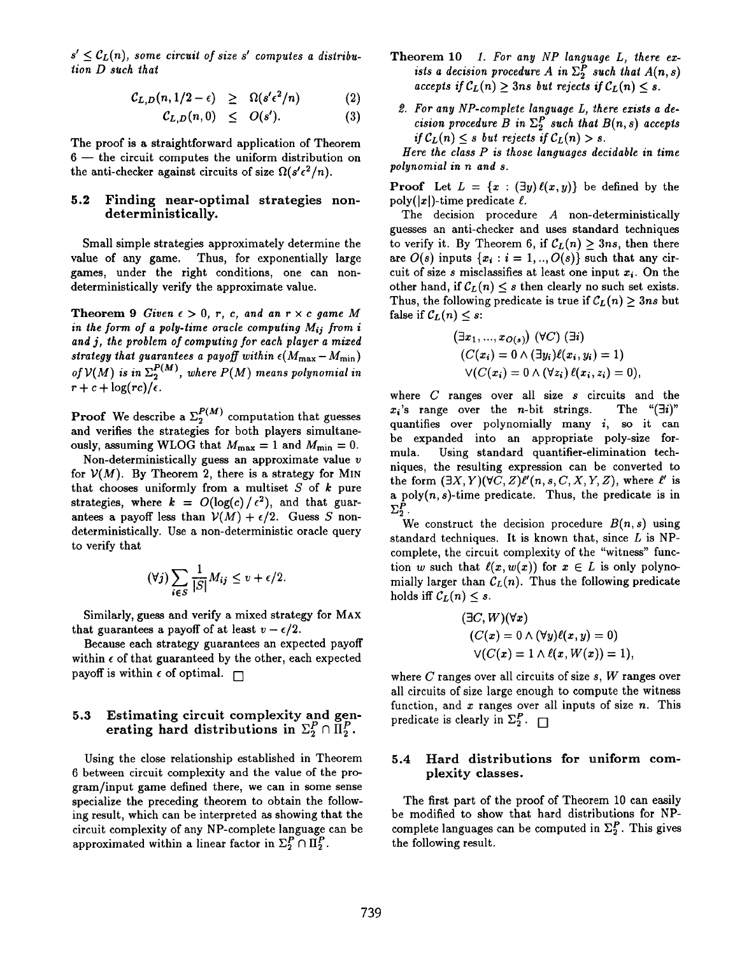$s' \leq C_L(n)$ , some circuit of size s' computes a distribution D such that

$$
C_{L,D}(n,1/2-\epsilon) \geq \Omega(s'\epsilon^2/n) \qquad (2)
$$

$$
C_{L,D}(n,0) \leq O(s'). \tag{3}
$$

The proof is a straightforward application of Theorem 6 — the circuit computes the uniform distribution on the anti-checker against circuits of size  $\Omega(s'\epsilon^2/n)$ .

### 5.2 Finding near-optimal strategies nondeterministically.

Small simple strategies approximately determine the value of any game. Thus, for exponentially large games, under the right conditions, one can nondeterministically verify the approximate value.

**Theorem 9** Given  $\epsilon > 0$ , r, c, and an  $r \times c$  game M in the form of a poly-time oracle computing  $M_{ij}$  from i and j, the problem of computing for each player a mixed strategy that guarantees a payoff within  $\epsilon(M_{\rm max} - M_{\rm min})$ of  $\mathcal{V}(M)$  is in  $\Sigma_2^{P(M)}$ , where  $P(M)$  means polynomial in  $r + c + \log (rc)/\epsilon$ .

**Proof** We describe a  $\Sigma_2^{\sim}$  computation that guesses and verifies the strategies for both players simultan ously, assuming WLOG that  $M_{\text{max}} = 1$  and  $M_{\text{min}} = 0$ .

Non-deterministically guess an approximate value v for  $V(M)$ . By Theorem 2, there is a strategy for MIN that chooses uniformly from a multiset  $S$  of  $k$  pure strategies, where  $k = O(\log(c)/\epsilon^2)$ , and that guarantees a payoff less than  $V(M) + \epsilon/2$ . Guess S nondeterministically. Use a non-deterministic oracle query to verify that

$$
(\forall j)\sum_{i\in S}\frac{1}{|S|}M_{ij}\leq v+\epsilon/2.
$$

Similarly, guess and verify a mixed strategy for MAX that guarantees a payoff of at least  $v - \epsilon/2$ .

Because each strategy guarantees an expected payoff within  $\epsilon$  of that guaranteed by the other, each expected payoff is within  $\epsilon$  of optimal.  $\Box$ 

# 5.3 Estimating circuit complexity and generating hard distributions in  $\Sigma_2^P \cap \Pi_2^P$ .

Using the close relationship established in Theorem 6 between circuit complexity and the value of the program/input game defined there, we can in some sense specialize the preceding theorem to obtain the following result, which can be interpreted aa showing that the circuit complexity of any NP-complete language can be approximated within a linear factor in  $\Sigma_2^P \cap \Pi_2^P$ .

- Theorem 10 1. For any NP language L, there exists a decision procedure A in  $\Sigma_2^P$  such that  $A(n,s)$ accepts if  $\mathcal{C}_L(n) \geq 3$ ns but rejects if  $\mathcal{C}_L(n) \leq s$ .
	- 2. For any NP-complete language L, there exists a decision procedure B in  $\Sigma_2^P$  such that  $B(n, s)$  accepts if  $C_L(n) \leq s$  but rejects if  $C_L(n) > s$ .

Here the class  $P$  is those languages decidable in time polynomial in n and s.

**Proof** Let  $L = \{x : (\exists y) \ell(x, y)\}\)$  be defined by the  $poly(|x|)$ -time predicate  $\ell$ .

The decision procedure A non-deterministically guesses an anti-checker and uses standard techniques to verify it. By Theorem 6, if  $C_L(n) \geq 3ns$ , then there are  $O(s)$  inputs  $\{x_i : i = 1, ..., O(s)\}$  such that any circuit of size s misclassifies at least one input  $x_i$ . On the other hand, if  $C_L(n) \leq s$  then clearly no such set exists. Thus, the following predicate is true if  $\mathcal{C}_L(n) > 3ns$  but false if  $C_L(n) \leq s$ :

$$
(\exists x_1, ..., x_{O(s)}) (\forall C) (\exists i)
$$
  
\n
$$
(C(x_i) = 0 \land (\exists y_i) \ell(x_i, y_i) = 1)
$$
  
\n
$$
\lor (C(x_i) = 0 \land (\forall z_i) \ell(x_i, z_i) = 0),
$$

where  $C$  ranges over all size  $s$  circuits and the  $x_i$ 's range over the *n*-bit strings. The " $(\exists i)$ " quantifies over polynomially many  $i$ , so it can be expanded into an appropriate poly-size formula. Using standard quantifier-elimination techniques, the resulting expression can be converted to the form  $(\exists X, Y)(\forall C, Z)\ell'(n, s, C, X, Y, Z)$ , where  $\ell'$  is a poly $(n, s)$ -time predicate. Thus, the predicate is in  $\Sigma_2^P$  .

We construct the decision procedure  $B(n, s)$  using standard techniques. It is known that, since  $L$  is NPcomplete, the circuit complexity of the "witness" function w such that  $\ell(x, w(x))$  for  $x \in L$  is only polynomially larger than  $\mathcal{C}_L(n)$ . Thus the following predicate holds iff  $\mathcal{C}_L(n) \leq s$ .

$$
(\exists C, W)(\forall x)
$$
  
\n
$$
(C(x) = 0 \land (\forall y)\ell(x, y) = 0)
$$
  
\n
$$
\lor (C(x) = 1 \land \ell(x, W(x)) = 1),
$$

where  $C$  ranges over all circuits of size  $s$ ,  $W$  ranges over all circuits of size large enough to compute the witness function, and  $x$  ranges over all inputs of size  $n$ . This predicate is clearly in  $\Sigma_2^P$ .

### 5.4 Hard distributions for uniform complexity classes.

The first part of the proof of Theorem 10 can easily be modified to show that hard distributions for NPcomplete languages can be computed in  $\Sigma_2^P$ . This gives the following result.